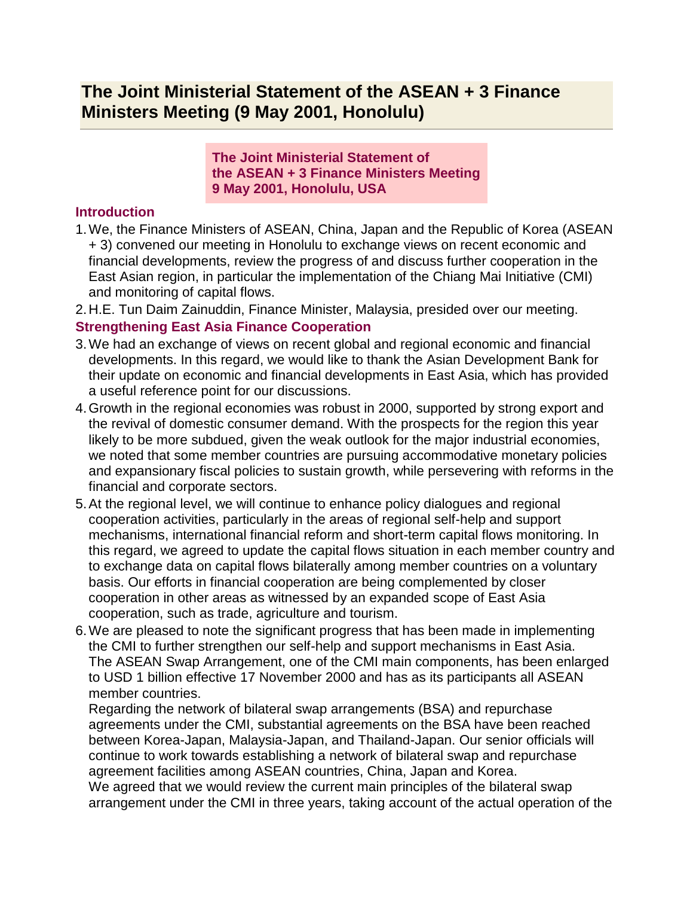## **The Joint Ministerial Statement of the ASEAN + 3 Finance Ministers Meeting (9 May 2001, Honolulu)**

**The Joint Ministerial Statement of the ASEAN + 3 Finance Ministers Meeting 9 May 2001, Honolulu, USA**

## **Introduction**

- 1.We, the Finance Ministers of ASEAN, China, Japan and the Republic of Korea (ASEAN + 3) convened our meeting in Honolulu to exchange views on recent economic and financial developments, review the progress of and discuss further cooperation in the East Asian region, in particular the implementation of the Chiang Mai Initiative (CMI) and monitoring of capital flows.
- 2.H.E. Tun Daim Zainuddin, Finance Minister, Malaysia, presided over our meeting. **Strengthening East Asia Finance Cooperation**
- 3.We had an exchange of views on recent global and regional economic and financial developments. In this regard, we would like to thank the Asian Development Bank for their update on economic and financial developments in East Asia, which has provided a useful reference point for our discussions.
- 4.Growth in the regional economies was robust in 2000, supported by strong export and the revival of domestic consumer demand. With the prospects for the region this year likely to be more subdued, given the weak outlook for the major industrial economies, we noted that some member countries are pursuing accommodative monetary policies and expansionary fiscal policies to sustain growth, while persevering with reforms in the financial and corporate sectors.
- 5.At the regional level, we will continue to enhance policy dialogues and regional cooperation activities, particularly in the areas of regional self-help and support mechanisms, international financial reform and short-term capital flows monitoring. In this regard, we agreed to update the capital flows situation in each member country and to exchange data on capital flows bilaterally among member countries on a voluntary basis. Our efforts in financial cooperation are being complemented by closer cooperation in other areas as witnessed by an expanded scope of East Asia cooperation, such as trade, agriculture and tourism.
- 6.We are pleased to note the significant progress that has been made in implementing the CMI to further strengthen our self-help and support mechanisms in East Asia. The ASEAN Swap Arrangement, one of the CMI main components, has been enlarged to USD 1 billion effective 17 November 2000 and has as its participants all ASEAN member countries.

Regarding the network of bilateral swap arrangements (BSA) and repurchase agreements under the CMI, substantial agreements on the BSA have been reached between Korea-Japan, Malaysia-Japan, and Thailand-Japan. Our senior officials will continue to work towards establishing a network of bilateral swap and repurchase agreement facilities among ASEAN countries, China, Japan and Korea.

We agreed that we would review the current main principles of the bilateral swap arrangement under the CMI in three years, taking account of the actual operation of the